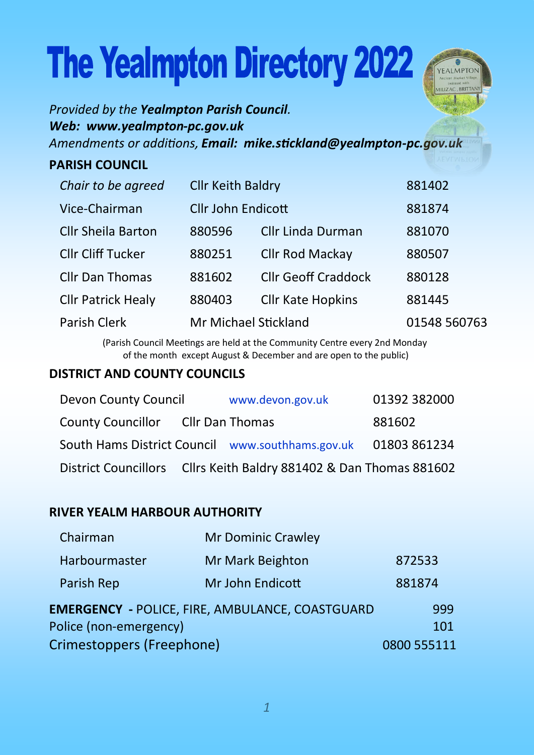# **The Yealmpton Directory 2022**



*Provided by the Yealmpton Parish Council. Web: www.yealmpton-pc.gov.uk Amendments or additions, Email: mike.stickland@yealmpton-pc.gov.uk* 

#### **PARISH COUNCIL**

| Chair to be agreed        | <b>Cllr Keith Baldry</b>  |                            | 881402       |
|---------------------------|---------------------------|----------------------------|--------------|
| Vice-Chairman             | <b>Cllr John Endicott</b> |                            | 881874       |
| <b>Cllr Sheila Barton</b> | 880596                    | Cllr Linda Durman          | 881070       |
| <b>Cllr Cliff Tucker</b>  | 880251                    | <b>Cllr Rod Mackay</b>     | 880507       |
| <b>Cllr Dan Thomas</b>    | 881602                    | <b>Cllr Geoff Craddock</b> | 880128       |
| <b>Cllr Patrick Healy</b> | 880403                    | <b>Cllr Kate Hopkins</b>   | 881445       |
| Parish Clerk              | Mr Michael Stickland      |                            | 01548 560763 |

(Parish Council Meetings are held at the Community Centre every 2nd Monday of the month except August & December and are open to the public)

#### **DISTRICT AND COUNTY COUNCILS**

| Devon County Council                                               | www.devon.gov.uk | 01392 382000 |
|--------------------------------------------------------------------|------------------|--------------|
| County Councillor Cllr Dan Thomas                                  |                  | 881602       |
| South Hams District Council www.southhams.gov.uk 01803 861234      |                  |              |
| District Councillors Cllrs Keith Baldry 881402 & Dan Thomas 881602 |                  |              |

#### **RIVER YEALM HARBOUR AUTHORITY**

| Chairman                                               | Mr Dominic Crawley |        |
|--------------------------------------------------------|--------------------|--------|
| Harbourmaster                                          | Mr Mark Beighton   | 872533 |
| Parish Rep                                             | Mr John Endicott   | 881874 |
| <b>EMERGENCY - POLICE, FIRE, AMBULANCE, COASTGUARD</b> | 999                |        |
| Police (non-emergency)                                 | 101                |        |
| Crimestoppers (Freephone)                              | 0800 555111        |        |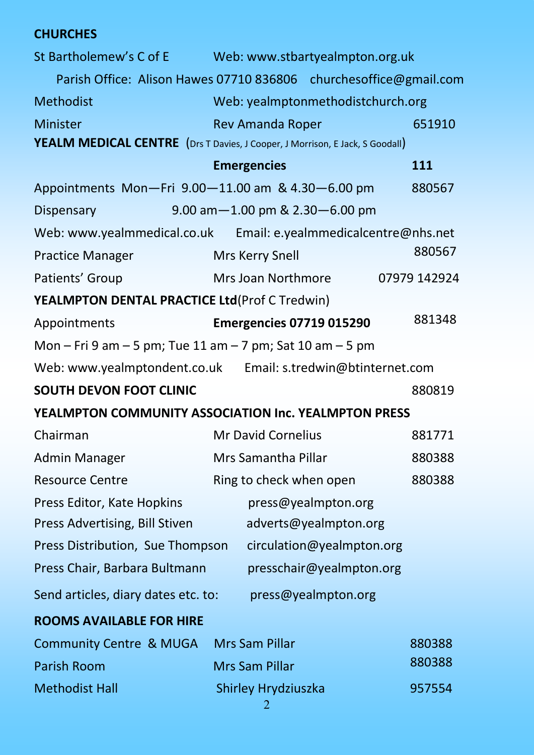#### **CHURCHES**

| St Bartholemew's C of E                                   | Web: www.stbartyealmpton.org.uk                                              |              |
|-----------------------------------------------------------|------------------------------------------------------------------------------|--------------|
|                                                           | Parish Office: Alison Hawes 07710 836806 churchesoffice@gmail.com            |              |
| <b>Methodist</b>                                          | Web: yealmptonmethodistchurch.org                                            |              |
| <b>Minister</b>                                           | <b>Rev Amanda Roper</b>                                                      | 651910       |
|                                                           | YEALM MEDICAL CENTRE (Drs T Davies, J Cooper, J Morrison, E Jack, S Goodall) |              |
|                                                           | <b>Emergencies</b>                                                           | 111          |
| Appointments Mon-Fri 9.00-11.00 am & 4.30-6.00 pm         |                                                                              | 880567       |
| Dispensary                                                | 9.00 am-1.00 pm & 2.30-6.00 pm                                               |              |
|                                                           | Web: www.yealmmedical.co.uk Email: e.yealmmedicalcentre@nhs.net              |              |
| <b>Practice Manager</b>                                   | Mrs Kerry Snell                                                              | 880567       |
| Patients' Group                                           | Mrs Joan Northmore                                                           | 07979 142924 |
| YEALMPTON DENTAL PRACTICE Ltd(Prof C Tredwin)             |                                                                              |              |
| Appointments                                              | <b>Emergencies 07719 015290</b>                                              | 881348       |
| Mon - Fri 9 am - 5 pm; Tue 11 am - 7 pm; Sat 10 am - 5 pm |                                                                              |              |
|                                                           | Web: www.yealmptondent.co.uk Email: s.tredwin@btinternet.com                 |              |
| SOUTH DEVON FOOT CLINIC                                   |                                                                              | 880819       |
|                                                           | YEALMPTON COMMUNITY ASSOCIATION Inc. YEALMPTON PRESS                         |              |
| Chairman                                                  | Mr David Cornelius                                                           | 881771       |
| Admin Manager                                             | Mrs Samantha Pillar                                                          | 880388       |
| <b>Resource Centre</b>                                    | Ring to check when open                                                      | 880388       |
| Press Editor, Kate Hopkins                                | press@yealmpton.org                                                          |              |
| Press Advertising, Bill Stiven                            | adverts@yealmpton.org                                                        |              |
| Press Distribution, Sue Thompson                          | circulation@yealmpton.org                                                    |              |
| Press Chair, Barbara Bultmann                             | presschair@yealmpton.org                                                     |              |
| Send articles, diary dates etc. to:                       | press@yealmpton.org                                                          |              |
| <b>ROOMS AVAILABLE FOR HIRE</b>                           |                                                                              |              |
| <b>Community Centre &amp; MUGA</b>                        | Mrs Sam Pillar                                                               | 880388       |
| Parish Room                                               | Mrs Sam Pillar                                                               | 880388       |
| <b>Methodist Hall</b>                                     | Shirley Hrydziuszka                                                          | 957554       |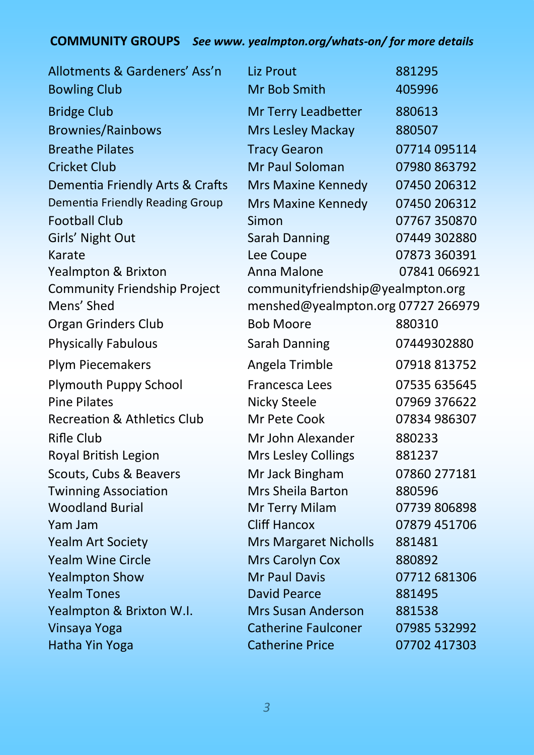## **COMMUNITY GROUPS** *See www. yealmpton.org/whats-on/ for more details*

| Allotments & Gardeners' Ass'n              | <b>Liz Prout</b>                                                        | 881295       |
|--------------------------------------------|-------------------------------------------------------------------------|--------------|
| <b>Bowling Club</b>                        | Mr Bob Smith                                                            | 405996       |
| <b>Bridge Club</b>                         | Mr Terry Leadbetter                                                     | 880613       |
| <b>Brownies/Rainbows</b>                   | Mrs Lesley Mackay                                                       | 880507       |
| <b>Breathe Pilates</b>                     | <b>Tracy Gearon</b>                                                     | 07714 095114 |
| <b>Cricket Club</b>                        | Mr Paul Soloman                                                         | 07980 863792 |
| Dementia Friendly Arts & Crafts            | <b>Mrs Maxine Kennedy</b>                                               | 07450 206312 |
| Dementia Friendly Reading Group            | Mrs Maxine Kennedy                                                      | 07450 206312 |
| <b>Football Club</b>                       | Simon                                                                   | 07767 350870 |
| Girls' Night Out                           | <b>Sarah Danning</b>                                                    | 07449 302880 |
| Karate                                     | Lee Coupe                                                               | 07873 360391 |
| Yealmpton & Brixton                        | Anna Malone                                                             | 07841 066921 |
| Community Friendship Project<br>Mens' Shed | communityfriendship@yealmpton.org<br>menshed@yealmpton.org 07727 266979 |              |
| <b>Organ Grinders Club</b>                 | <b>Bob Moore</b>                                                        | 880310       |
| <b>Physically Fabulous</b>                 | Sarah Danning                                                           | 07449302880  |
| Plym Piecemakers                           | Angela Trimble                                                          | 07918 813752 |
| Plymouth Puppy School                      | Francesca Lees                                                          | 07535 635645 |
| <b>Pine Pilates</b>                        | Nicky Steele                                                            | 07969 376622 |
| <b>Recreation &amp; Athletics Club</b>     | Mr Pete Cook                                                            | 07834 986307 |
| <b>Rifle Club</b>                          | Mr John Alexander                                                       | 880233       |
| Royal British Legion                       | Mrs Lesley Collings                                                     | 881237       |
| Scouts, Cubs & Beavers                     | Mr Jack Bingham                                                         | 07860 277181 |
| <b>Twinning Association</b>                | Mrs Sheila Barton                                                       | 880596       |
| <b>Woodland Burial</b>                     | Mr Terry Milam                                                          | 07739 806898 |
| Yam Jam                                    | <b>Cliff Hancox</b>                                                     | 07879 451706 |
| <b>Yealm Art Society</b>                   | <b>Mrs Margaret Nicholls</b>                                            | 881481       |
| <b>Yealm Wine Circle</b>                   | Mrs Carolyn Cox                                                         | 880892       |
| <b>Yealmpton Show</b>                      | <b>Mr Paul Davis</b>                                                    | 07712 681306 |
| <b>Yealm Tones</b>                         | <b>David Pearce</b>                                                     | 881495       |
| Yealmpton & Brixton W.I.                   | Mrs Susan Anderson                                                      | 881538       |
| Vinsaya Yoga                               | <b>Catherine Faulconer</b>                                              | 07985 532992 |
| Hatha Yin Yoga                             | <b>Catherine Price</b>                                                  | 07702 417303 |